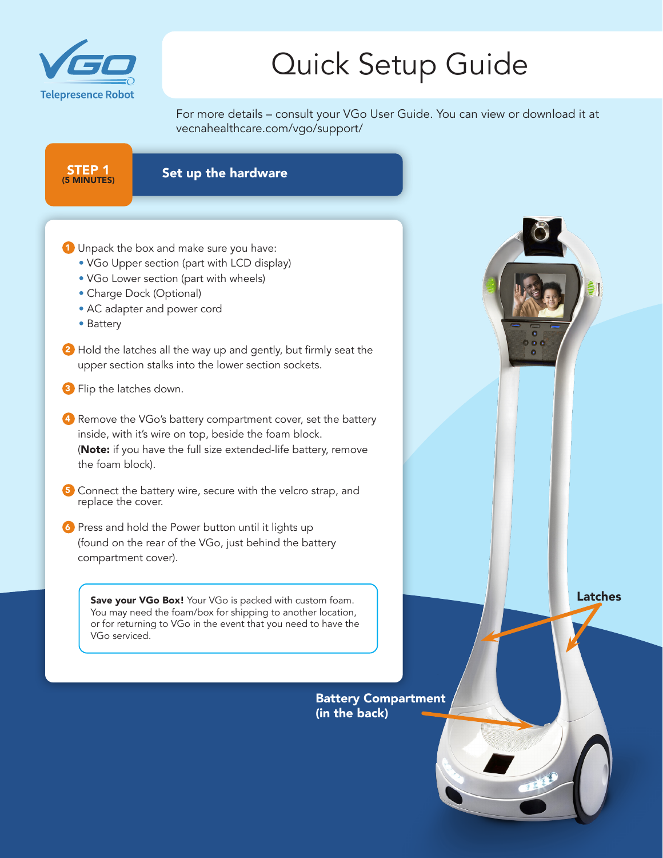

For more details – consult your VGo User Guide. You can view or download it at vecnahealthcare.com/vgo/support/

STEP 1 Set up the hardware

- 1 Unpack the box and make sure you have:
	- VGo Upper section (part with LCD display)
	- VGo Lower section (part with wheels)
	- Charge Dock (Optional)
	- AC adapter and power cord
	- Battery
- 2 Hold the latches all the way up and gently, but firmly seat the upper section stalks into the lower section sockets.
- **3** Flip the latches down.
- 4 Remove the VGo's battery compartment cover, set the battery inside, with it's wire on top, beside the foam block. (Note: if you have the full size extended-life battery, remove the foam block).
- 5 Connect the battery wire, secure with the velcro strap, and replace the cover.
- 6 Press and hold the Power button until it lights up (found on the rear of the VGo, just behind the battery compartment cover).

Save your VGo Box! Your VGo is packed with custom foam. You may need the foam/box for shipping to another location, or for returning to VGo in the event that you need to have the VGo serviced.

> Battery Compartment (in the back)

Latches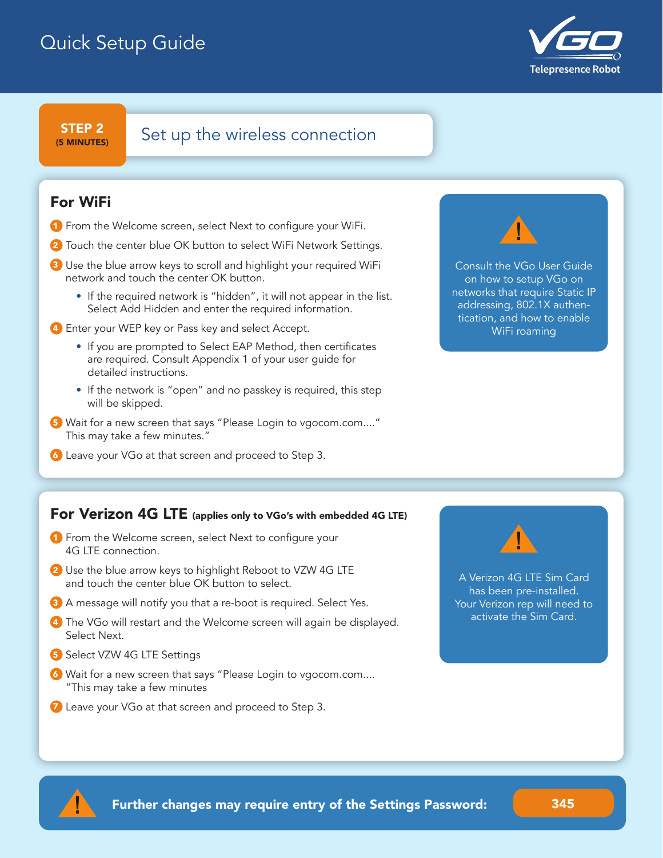

(5 MINUTES)

## $S$ TEP 2 Set up the wireless connection

#### For WiFi

- **1** From the Welcome screen, select Next to configure your WiFi.
- 2 Touch the center blue OK button to select WiFi Network Settings.
- 3 Use the blue arrow keys to scroll and highlight your required WiFi network and touch the center OK button.
	- If the required network is "hidden", it will not appear in the list. Select Add Hidden and enter the required information.
- 4 Enter your WEP key or Pass key and select Accept.
	- If you are prompted to Select EAP Method, then certificates are required. Consult Appendix 1 of your user guide for detailed instructions.
	- If the network is "open" and no passkey is required, this step will be skipped.
- 5 Wait for a new screen that says "Please Login to vgocom.com...." This may take a few minutes."
- 6 Leave your VGo at that screen and proceed to Step 3.



Consult the VGo User Guide on how to setup VGo on networks that require Static IP addressing, 802.1X authentication, and how to enable WiFi roaming

#### For Verizon 4G LTE (applies only to VGo's with embedded 4G LTE)

- **1** From the Welcome screen, select Next to configure your 4G LTE connection.
- 2 Use the blue arrow keys to highlight Reboot to VZW 4G LTE and touch the center blue OK button to select.
- **3** A message will notify you that a re-boot is required. Select Yes.
- 4 The VGo will restart and the Welcome screen will again be displayed. Select Next.
- 5 Select VZW 4G LTE Settings
- 6 Wait for a new screen that says "Please Login to vgocom.com.... "This may take a few minutes
- **7** Leave your VGo at that screen and proceed to Step 3.



A Verizon 4G LTE Sim Card has been pre-installed. Your Verizon rep will need to activate the Sim Card.

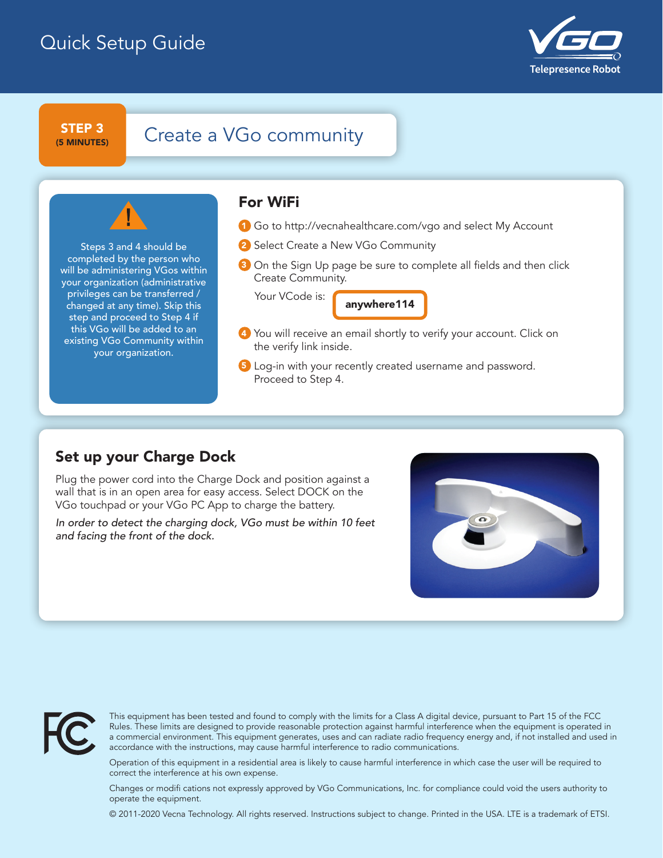

(5 MINUTES)

## $STEP 3$  Create a VGo community

Steps 3 and 4 should be completed by the person who will be administering VGos within your organization (administrative privileges can be transferred / changed at any time). Skip this step and proceed to Step 4 if this VGo will be added to an existing VGo Community within your organization.

#### For WiFi

- 1 Go to http://vecnahealthcare.com/vgo and select My Account
- 2 Select Create a New VGo Community
- **3** On the Sign Up page be sure to complete all fields and then click Create Community.

Your VCode is:

anywhere114

- Set up the wireless connection 4 You will receive an email shortly to verify your account. Click on the verify link inside.
	- 5 Log-in with your recently created username and password. Proceed to Step 4.

### Set up your Charge Dock

Plug the power cord into the Charge Dock and position against a wall that is in an open area for easy access. Select DOCK on the VGo touchpad or your VGo PC App to charge the battery.

*In order to detect the charging dock, VGo must be within 10 feet and facing the front of the dock.*





This equipment has been tested and found to comply with the limits for a Class A digital device, pursuant to Part 15 of the FCC Rules. These limits are designed to provide reasonable protection against harmful interference when the equipment is operated in a commercial environment. This equipment generates, uses and can radiate radio frequency energy and, if not installed and used in accordance with the instructions, may cause harmful interference to radio communications.

Operation of this equipment in a residential area is likely to cause harmful interference in which case the user will be required to correct the interference at his own expense.

Changes or modifi cations not expressly approved by VGo Communications, Inc. for compliance could void the users authority to operate the equipment.

© 2011-2020 Vecna Technology. All rights reserved. Instructions subject to change. Printed in the USA. LTE is a trademark of ETSI.